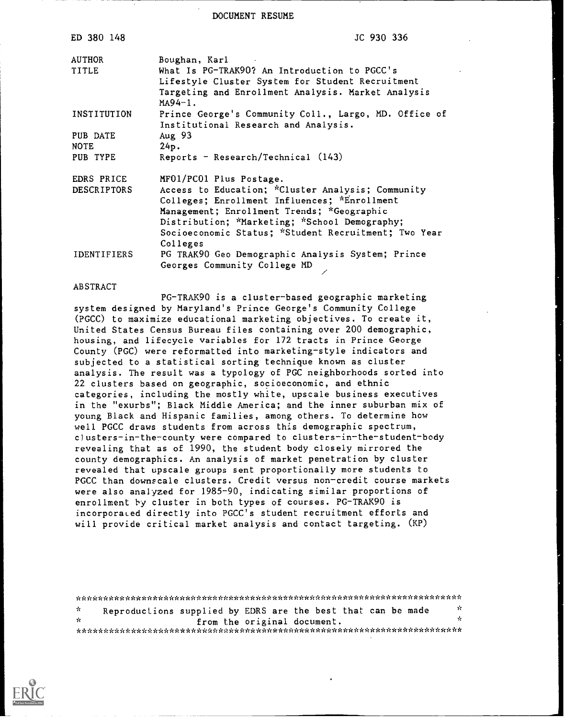DOCUMENT RESUME

| ED 380 148         | JC 930 336                                                      |
|--------------------|-----------------------------------------------------------------|
| AUTHOR             | Boughan, Karl                                                   |
| TITLE              | What Is PG-TRAK90? An Introduction to PGCC's                    |
|                    | Lifestyle Cluster System for Student Recruitment                |
|                    | Targeting and Enrollment Analysis. Market Analysis<br>$MA94-1.$ |
| INSTITUTION        | Prince George's Community Coll., Largo, MD. Office of           |
|                    | Institutional Research and Analysis.                            |
| PUB DATE           | Aug $93$                                                        |
| <b>NOTE</b>        | 24p.                                                            |
| PUB TYPE           | Reports - Research/Technical $(143)$                            |
| EDRS PRICE         | MF01/PC01 Plus Postage.                                         |
| <b>DESCRIPTORS</b> | Access to Education; *Cluster Analysis; Community               |
|                    | Colleges; Enrollment Influences; *Enrollment                    |
|                    | Management; Enrollment Trends; *Geographic                      |
|                    | Distribution; *Marketing; *School Demography;                   |
|                    | Socioeconomic Status; *Student Recruitment; Two Year            |
|                    | Colleges                                                        |
| <b>IDENTIFIERS</b> | PG TRAK90 Geo Demographic Analysis System; Prince               |
|                    | Georges Community College MD                                    |

#### ABSTRACT

PG-TRAK90 is a cluster-based geographic marketing system designed by Maryland's Prince George's Community College (PGCC) to maximize educational marketing objectives. To create it, United States Census Bureau files containing over 200 demographic, housing, and lifecycle variables for 172 tracts in Prince George County (PGC) were reformatted into marketing-style indicators and subjected to a statistical sorting technique known as cluster analysis. The result was a typology of PGC neighborhoods sorted into 22 clusters based on geographic, socioeconomic, and ethnic categories, including the mostly white, upscale business executives in the "exurbs"; Black Middle America; and the inner suburban mix of young Black and Hispanic families, among others. To determine how well PGCC draws students from across this demographic spectrum, clusters-in-the-county were compared to clusters-in-the-student-body revealing that as of 1990, the student body closely mirrored the county demographics. An analysis of market penetration by cluster revealed that upscale groups sent proportionally more students to PGCC than downscale clusters. Credit versus non-credit course markets were also analyzed for 1985-90, indicating similar proportions of enrollment by cluster in both types of courses. PG-TRAK90 is incorporated directly into PGCC's student recruitment efforts and will provide critical market analysis and contact targeting. (KP)

|      | rerent der bestehenden der der bestehenden bestehenden bestehenden der bestehenden bestehenden bestehenden bestehenden bestehen |  |                             |             |  |
|------|---------------------------------------------------------------------------------------------------------------------------------|--|-----------------------------|-------------|--|
| -it- | Reproductions supplied by EDRS are the best that can be made                                                                    |  |                             | - 20        |  |
| -de- |                                                                                                                                 |  | from the original document. | <b>Sec.</b> |  |
|      |                                                                                                                                 |  |                             |             |  |

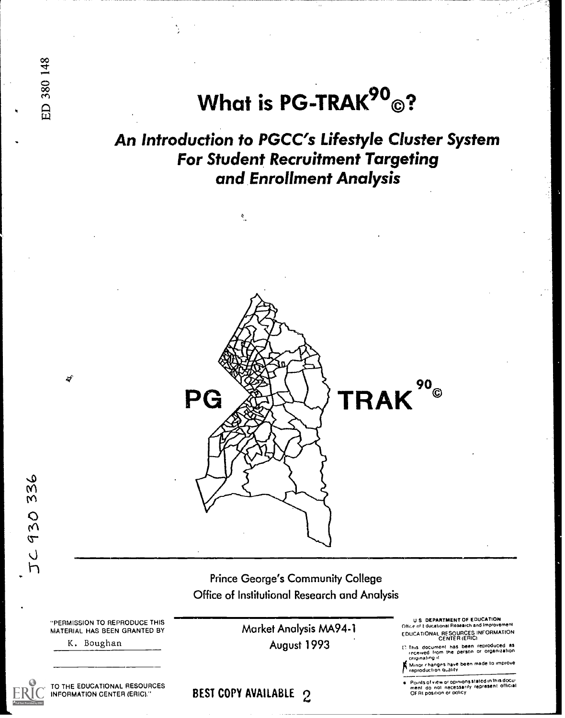What is PG-TRAK $^{90}$ ©?

An Introduction to PGCC's Lifestyle Cluster System For Student Recruitment Targeting and Enrollment Analysis

 $\mathbf{e}$ 



336 930

ED 380 148

Prince George's Community College Office of Institutional Research and Analysis

"PERMISSION TO REPRODUCE THIS MATERIAL HAS BEEN GRANTED BY

K. Boughan

TO THE EDUCATIONAL RESOURCES INFORMATION CENTER (ERIC)."

Market Analysis MA94-1 August 1993

U.S. DEPARTMENT OF EDUCATION<br>e.of Educational Research and Improvement EDUCATIONAL RESOURCES INFORMATION CENTER (ERICI

t') This document has been reproduced as<br>| recaived from the person or organization<br>| originating it

; Minor changes have been made to improve.<br>\* reproduction Quality

Points of view or opinions stated in this docu-<br>ment : do .not. nacessarily .represent. official<br>OF RI position or policy

BEST COPY AVAILABLE 2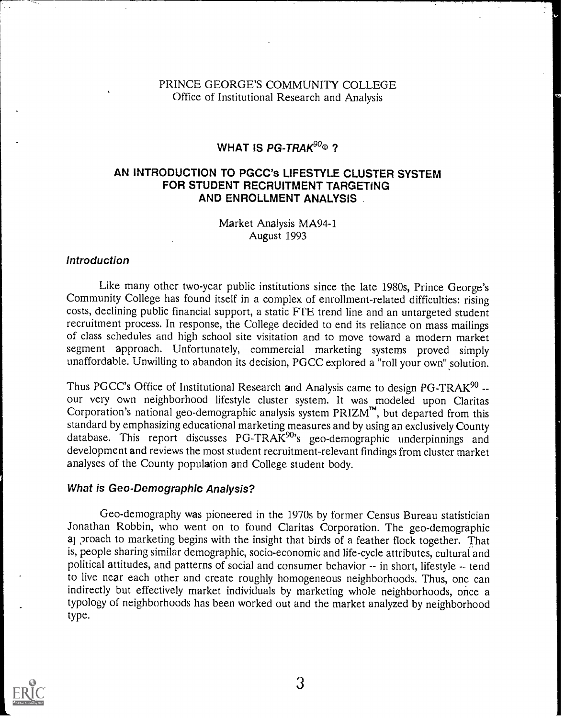## PRINCE GEORGE'S COMMUNITY COLLEGE Office of Institutional Research and Analysis

# WHAT IS PG-TRAK $^{90}$ © ?

### AN INTRODUCTION TO PGCC's LIFESTYLE CLUSTER SYSTEM FOR STUDENT RECRUITMENT TARGETING AND ENROLLMENT ANALYSIS

Market Analysis MA94-1 August 1993

### Introduction

Like many other two-year public institutions since the late 1980s, Prince George's Community College has found itself in a complex of enrollment-related difficulties: rising costs, declining public financial support, a static FTE trend line and an untargeted student recruitment process. In response, the College decided to end its reliance on mass mailings of class schedules and high school site visitation and to move toward a modern market segment approach. Unfortunately, commercial marketing systems proved simply unaffordable. Unwilling to abandon its decision, PGCC explored a "roll your own" solution.

Thus PGCC's Office of Institutional Research and Analysis came to design PG-TRAK<sup>90</sup> -- our very own neighborhood lifestyle cluster system. It was modeled upon Claritas Corporation's national geo-demographic analysis system  $PRIZM^{\mathsf{m}}$ , but departed from this standard by emphasizing educational marketing measures and by using an exclusively County database. This report discusses PG-TRAK<sup>90</sup>'s geo-demographic underpinnings and development and reviews the most student recruitment-relevant findings from cluster market analyses of the County population and College student body.

### What is Geo-Demographic Analysis?

Geo-demography was pioneered in the 1970s by former Census Bureau statistician Jonathan Robbin, who went on to found Claritas Corporation. The geo-demographic ai ?roach to marketing begins with the insight that birds of a feather flock together. That is, people sharing similar demographic, socio-economic and life-cycle attributes, cultural and political attitudes, and patterns of social and consumer behavior -- in short, lifestyle -- tend to live near each other and create roughly homogeneous neighborhoods. Thus, one can indirectly but effectively market individuals by marketing whole neighborhoods, once a typology of neighborhoods has been worked out and the market analyzed by neighborhood type.

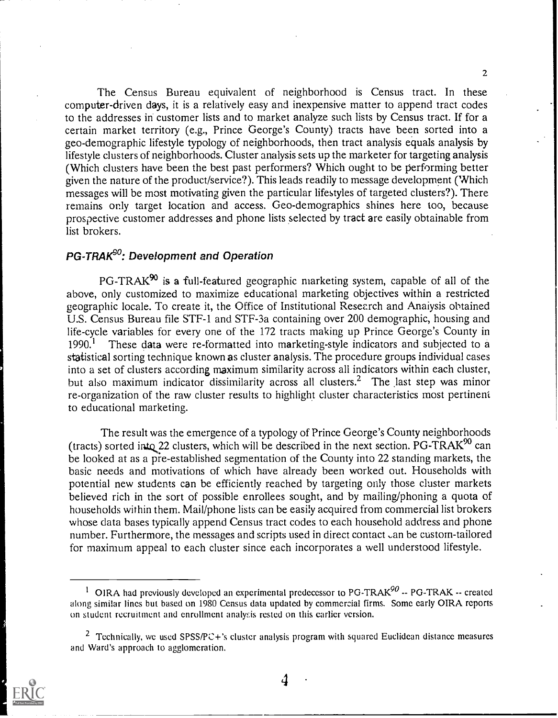The Census Bureau equivalent of neighborhood is Census tract. In these computer-driven days, it is a relatively easy and inexpensive matter to append tract codes to the addresses in customer lists and to market analyze such lists by Census tract. If for a certain market territory (e.g., Prince George's County) tracts have been sorted into a geo-demographic lifestyle typology of neighborhoods, then tract analysis equals analysis by lifestyle clusters of neighborhoods. Cluster analysis sets up the marketer for targeting analysis (Which clusters have been the best past performers? Which ought to be performing better given the nature of the product/service?). This leads readily to message development (Which messages will be most motivating given the particular lifestyles of targeted clusters?). There remains only target location and access. Geo-demographics shines here too, because prospective customer addresses and phone lists selected by tract are easily obtainable from list brokers.

# PG-TRAK<sup>SO</sup>: Development and Operation

 $PG-TRAK^{90}$  is a full-featured geographic marketing system, capable of all of the above, only customized to maximize educational marketing objectives within a restricted geographic locale. To create it, the Office of Institutional Research and Analysis obtained U.S. Census Bureau file STF-1 and STF-3a containing over 200 demographic, housing and life-cycle variables for every one of the 172 tracts making up Prince George's County in  $1990.<sup>1</sup>$  These data were re-formatted into marketing-style indicators and subjected to a statistical sorting technique known as cluster analysis. The procedure groups individual cases into a set of clusters according maximum similarity across all indicators within each cluster, but also maximum indicator dissimilarity across all clusters.<sup>2</sup> The last step was minor re-organization of the raw cluster results to highlight cluster characteristics most pertinent to educational marketing.

The result was the emergence of a typology of Prince George's County neighborhoods (tracts) sorted into 22 clusters, which will be described in the next section. PG-TRAK<sup>90</sup> can be looked at as a pre-established segmentation of the County into 22 standing markets, the basic needs and motivations of which have already been worked out. Households with potential new students can be efficiently reached by targeting only those cluster markets believed rich in the sort of possible enrollees sought, and by mailing/phoning a quota of households within them. Mail/phone lists can be easily acquired from commercial list brokers whose data bases typically append Census tract codes to each household address and phone number. Furthermore, the messages and scripts used in direct contact  $\alpha$  be custom-tailored for maximum appeal to each cluster since each incorporates a well understood lifestyle.

<sup>&</sup>lt;sup>2</sup> Technically, we used SPSS/PC+'s cluster analysis program with squared Euclidean distance measures and Ward's approach to agglomeration.



2

<sup>&</sup>lt;sup>1</sup> OIRA had previously developed an experimental predecessor to PG-TRAK<sup>90</sup> -- PG-TRAK -- created along similar lines but based on 1980 Census data updated by commercial firms. Some early OIRA reports on student recruitment and enrollment analysis rested on this earlier version.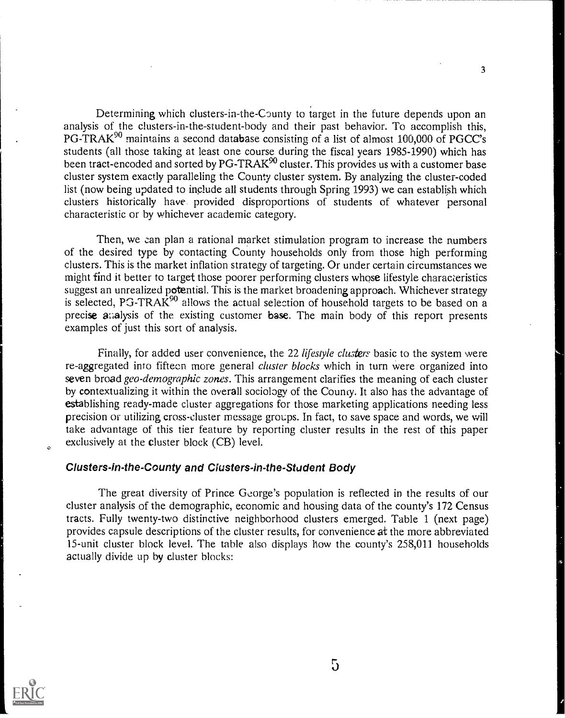Determining which clusters-in-the-County to target in the future depends upon an analysis of the clusters-in-the-student-body and their past behavior. To accomplish this, PG-TRAK<sup>90</sup> maintains a second database consisting of a list of almost 100,000 of PGCC's students (all those taking at least one course during the fiscal years 1985-1990) which has been tract-encoded and sorted by PG-TRAK<sup>90</sup> cluster. This provides us with a customer base cluster system exactly paralleling the County cluster system. By analyzing the cluster-coded list (now being updated to include all students through Spring 1993) we can establish which clusters historically have provided disproportions of students of whatever personal characteristic or by whichever academic category.

Then, we can plan a rational market stimulation program to increase the numbers of the desired type by contacting County households only from those high performing clusters. This is the market inflation strategy of targeting. Or under certain circumstances we might find it better to target those poorer performing clusters whose lifestyle characteristics suggest an unrealized potential. This is the market broadening approach. Whichever strategy is selected, PG-TRAK $^{90}$  allows the actual selection of household targets to be based on a precise analysis of the existing customer base. The main body of this report presents examples of just this sort of analysis.

Finally, for added user convenience, the 22 *lifestyle clusters* basic to the system were re-aggregated into fifteen more general cluster blocks which in turn were organized into seven broad geo-demographic zones. This arrangement clarifies the meaning of each cluster by contextualizing it within the overall sociology of the County. It also has the advantage of establishing ready-made cluster aggregations for those marketing applications needing less precision or utilizing cross-cluster message groups. In fact, to save space and words, we will take advantage of this tier feature by reporting cluster results in the rest of this paper exclusively at the cluster block (CB) level.

### Clusters-in-the-County and Clusters-in-the-Student Body

The great diversity of Prince George's population is reflected in the results of our cluster analysis of the demographic, economic and housing data of the county's 172 Census tracts. Fully twenty-two distinctive neighborhood clusters emerged. Table 1 (next page) provides capsule descriptions of the cluster results, for convenience at the more abbreviated 15-unit cluster block level. The table also displays how the county's 258,011 households actually divide up by cluster blocks:



 $\ddot{\phantom{a}}$ 

5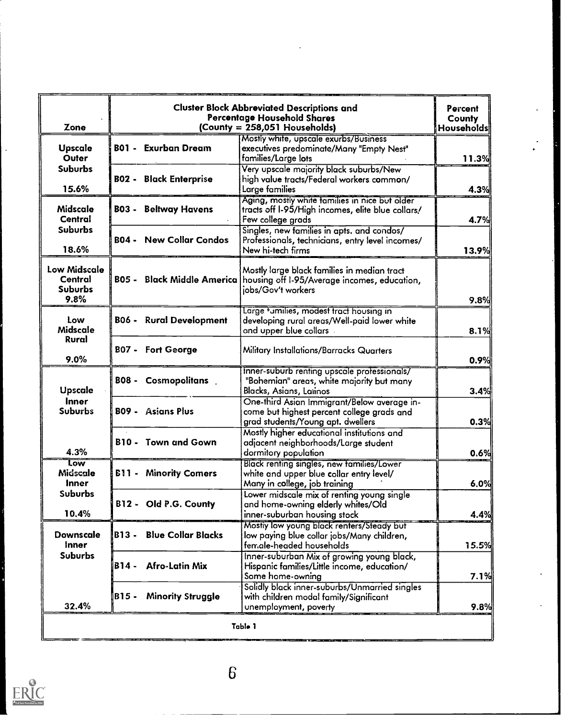| <b>B01 - Exurban Dream</b><br><b>BO2 - Black Enterprise</b><br><b>B03 - Beltway Havens</b><br><b>B04 - New Collar Condos</b><br><b>B05 - Black Middle America</b> | Mostly white, upscale exurbs/Business<br>executives predominate/Many "Empty Nest"<br>families/Large lots<br>Very upscale majority black suburbs/New<br>high value tracts/Federal workers common/<br>Large families<br>Aging, mostly white families in nice but older<br>tracts off I-95/High incomes, elite blue collars/<br>Few college grads<br>Singles, new families in apts. and condos/<br>Professionals, technicians, entry level incomes/<br>New hi-tech firms<br>Mostly large black families in median tract<br>housing off I-95/Average incomes, education, | 11.3%<br>4.3%                                                                                                                                     |
|-------------------------------------------------------------------------------------------------------------------------------------------------------------------|----------------------------------------------------------------------------------------------------------------------------------------------------------------------------------------------------------------------------------------------------------------------------------------------------------------------------------------------------------------------------------------------------------------------------------------------------------------------------------------------------------------------------------------------------------------------|---------------------------------------------------------------------------------------------------------------------------------------------------|
|                                                                                                                                                                   |                                                                                                                                                                                                                                                                                                                                                                                                                                                                                                                                                                      |                                                                                                                                                   |
|                                                                                                                                                                   |                                                                                                                                                                                                                                                                                                                                                                                                                                                                                                                                                                      | 4.7%                                                                                                                                              |
|                                                                                                                                                                   |                                                                                                                                                                                                                                                                                                                                                                                                                                                                                                                                                                      | 13.9%                                                                                                                                             |
|                                                                                                                                                                   |                                                                                                                                                                                                                                                                                                                                                                                                                                                                                                                                                                      |                                                                                                                                                   |
|                                                                                                                                                                   | jobs/Gov't workers                                                                                                                                                                                                                                                                                                                                                                                                                                                                                                                                                   | 9.8%                                                                                                                                              |
| <b>B06 - Rural Development</b>                                                                                                                                    | Large tumilies, modest tract housing in<br>developing rural areas/Well-paid lower white<br>and upper blue collars.                                                                                                                                                                                                                                                                                                                                                                                                                                                   | 8.1%                                                                                                                                              |
| <b>B07 - Fort George</b>                                                                                                                                          | Military Installations/Barracks Quarters                                                                                                                                                                                                                                                                                                                                                                                                                                                                                                                             | 0.9%                                                                                                                                              |
| <b>BO8 - Cosmopolitans</b>                                                                                                                                        | "Bohemian" areas, white majority but many<br>Blacks, Asians, Larinos                                                                                                                                                                                                                                                                                                                                                                                                                                                                                                 | 3.4%                                                                                                                                              |
| <b>BO9 - Asians Plus</b>                                                                                                                                          | One-third Asian Immigrant/Below average in-<br>come but highest percent college grads and<br>grad students/Young apt. dwellers                                                                                                                                                                                                                                                                                                                                                                                                                                       | 0.3%                                                                                                                                              |
| <b>B10 - Town and Gown</b>                                                                                                                                        | Mostly higher educational institutions and<br>adjacent neighborhoods/Large student<br>dormitory population                                                                                                                                                                                                                                                                                                                                                                                                                                                           | 0.6%                                                                                                                                              |
| <b>B11 - Minority Comers</b>                                                                                                                                      | white and upper blue collar entry level/<br>Many in college, job training                                                                                                                                                                                                                                                                                                                                                                                                                                                                                            | 6.0%                                                                                                                                              |
| B12 - Old P.G. County                                                                                                                                             | and home-owning elderly whites/Old<br>inner-suburban housing stock                                                                                                                                                                                                                                                                                                                                                                                                                                                                                                   | 4.4%                                                                                                                                              |
| <b>Blue Collar Blacks</b><br>B13-                                                                                                                                 | Mostly low young black renters/Steady but<br>low paying blue collar jobs/Many children,<br>female-headed households                                                                                                                                                                                                                                                                                                                                                                                                                                                  | 15.5%                                                                                                                                             |
| <b>Afro-Latin Mix</b><br>B14 -                                                                                                                                    | Inner-suburban Mix of growing young black,<br>Hispanic families/Little income, education/<br>Some home-owning                                                                                                                                                                                                                                                                                                                                                                                                                                                        | 7.1%                                                                                                                                              |
| <b>Minority Struggle</b><br>B15 -                                                                                                                                 | Solidly black inner-suburbs/Unmarried singles<br>with children modal family/Significant<br>unemployment, poverty                                                                                                                                                                                                                                                                                                                                                                                                                                                     | 9.8%                                                                                                                                              |
|                                                                                                                                                                   |                                                                                                                                                                                                                                                                                                                                                                                                                                                                                                                                                                      | Inner-suburb renting upscale professionals/<br>Black renting singles, new families/Lower<br>Lower midscale mix of renting young single<br>Table 1 |

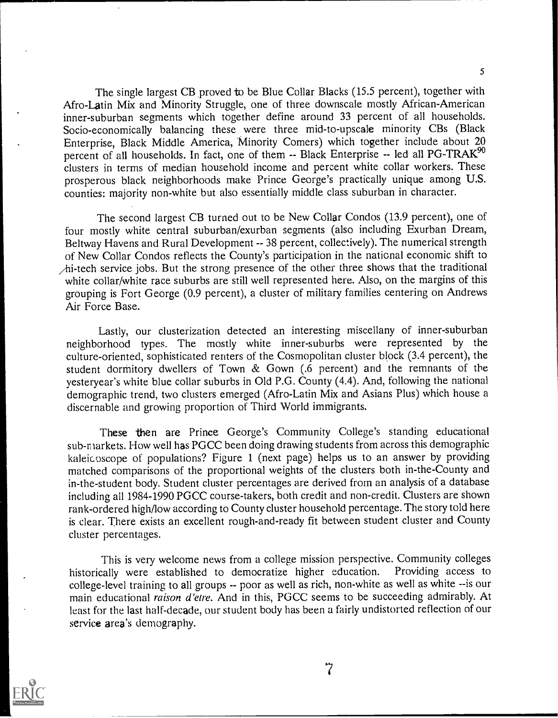The single largest CB proved to be Blue Collar Blacks (15.5 percent), together with Afro-Latin Mix and Minority Struggle, one of three downscale mostly African-American inner-suburban segments which together define around 33 percent of all households. Socio-economically balancing these were three mid-to-upscale minority CBs (Black Enterprise, Black Middle America, Minority Comers) which together include about 20 percent of all households. In fact, one of them -- Black Enterprise -- led all PG-TRAK<sup>90</sup> clusters in terms of median household income and percent white collar workers. These prosperous black neighborhoods make Prince George's practically unique among U.S. counties: majority non-white but also essentially middle class suburban in character.

The second largest CB turned out to be New Collar Condos (13.9 percent), one of four mostly white central suburban/exurban segments (also including Exurban Dream, Beltway Havens and Rural Development -- 38 percent, collectively). The numerical strength of New Collar Condos reflects the County's participation in the national economic shift to /hi-tech service jobs. But the strong presence of the other three shows that the traditional white collar/white race suburbs are still well represented here. Also, on the margins of this grouping is Fort George (0.9 percent), a cluster of military families centering on Andrews Air Force Base.

Lastly, our clusterization detected an interesting miscellany of inner-suburban neighborhood types. The mostly white inner-suburbs were represented by the culture-oriented, sophisticated renters of the Cosmopolitan cluster block (3.4 percent), the student dormitory dwellers of Town  $\&$  Gown (.6 percent) and the remnants of the yesteryear's white blue collar suburbs in Old P.G. County (4.4). And, following the national demographic trend, two clusters emerged (Afro-Latin Mix and Asians Plus) which house a discernable and growing proportion of Third World immigrants.

These then are Prince George's Community College's standing educational sub-markets. How well has PGCC been doing drawing students from across this demographic kaleic oscope of populations? Figure 1 (next page) helps us to an answer by providing matched comparisons of the proportional weights of the clusters both in-the-County and in-the-student body. Student cluster percentages are derived from an analysis of a database including all 1984-1990 PGCC course-takers, both credit and non-credit. Clusters are shown rank-ordered high/low according to County cluster household percentage. The story told here is clear. There exists an excellent rough-and-ready fit between student cluster and County cluster percentages.

This is very welcome news from a college mission perspective. Community colleges rally were established to democratize higher education. Providing access to historically were established to democratize higher education. college-level training to all groups -- poor as well as rich, non-white as well as white --is our main educational raison d'etre. And in this, PGCC seems to be succeeding admirably. At least for the last half-decade, our student body has been a fairly undistorted reflection of our service area's demography.

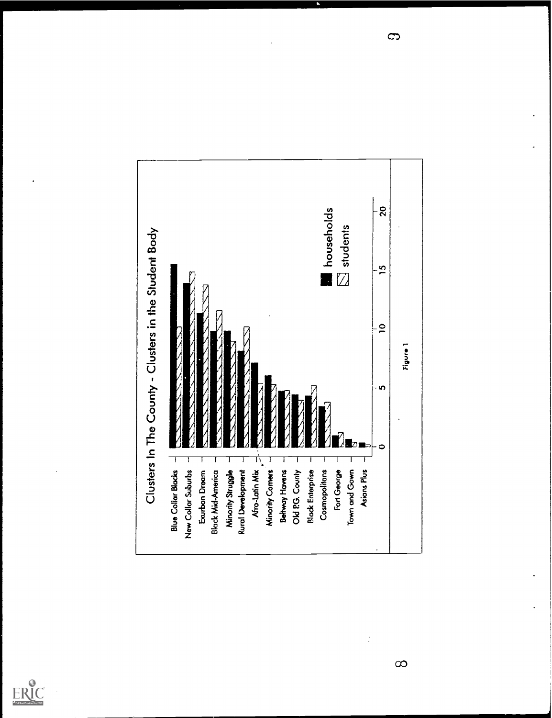



 $\infty$ 

 $\frac{1}{2}$ 

 $\mathbf{\Omega}$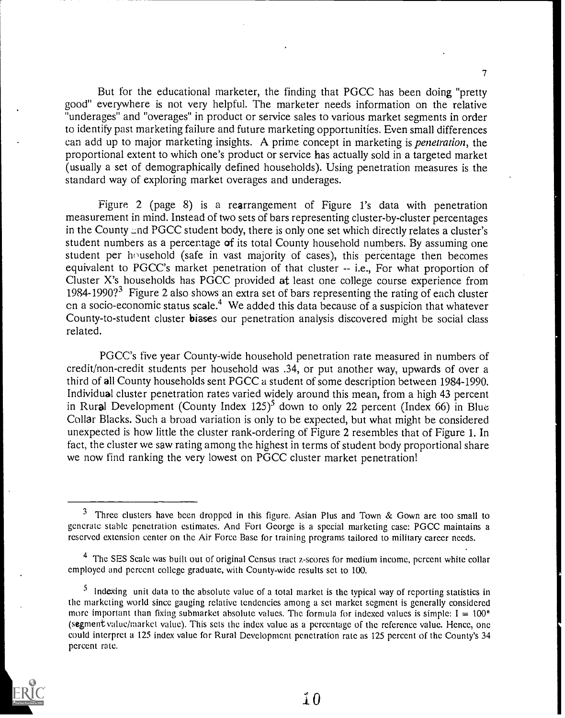But for the educational marketer, the finding that PGCC has been doing "pretty good" everywhere is not very helpful. The marketer needs information on the relative "underages" and "overages" in product or service sales to various market segments in order to identify past marketing failure and future marketing opportunities. Even small differences can add up to major marketing insights. A prime concept in marketing is penetration, the proportional extent to which one's product or service has actually sold in a targeted market (usually a set of demographically defined households). Using penetration measures is the standard way of exploring market overages and underages.

7

Figure 2 (page 8) is a rearrangement of Figure l's data with penetration measurement in mind. Instead of two sets of bars representing cluster-by-cluster percentages in the County and PGCC student body, there is only one set which directly relates a cluster's student numbers as a percentage of its total County household numbers. By assuming one student per household (safe in vast majority of cases), this percentage then becomes equivalent to PGCC's market penetration of that cluster -- i.e., For what proportion of Cluster X's households has PGCC provided at least one college course experience from 1984-1990?<sup>3</sup> Figure 2 also shows an extra set of bars representing the rating of each cluster en a socio-economic status scale.<sup>4</sup> We added this data because of a suspicion that whatever County-to-student cluster biases our penetration analysis discovered might be social class related.

PGCC's five year County-wide household penetration rate measured in numbers of credit/non-credit students per household was .34, or put another way, upwards of over a third of all County households sent PGCC a student of some description between 1984-1990. Individual cluster penetration rates varied widely around this mean, from a high 43 percent in Rural Development (County Index  $125$ <sup>5</sup> down to only 22 percent (Index 66) in Blue Collar Blacks. Such a broad variation is only to be expected, but what might be considered unexpected is how little the cluster rank-ordering of Figure 2 resembles that of Figure 1. In fact, the cluster we saw rating among the highest in terms of student body proportional share we now find ranking the very lowest on PGCC cluster market penetration!

 $5$  Indexing unit data to the absolute value of a total market is the typical way of reporting statistics in the marketing world since gauging relative tendencies among a set market segment is generally considered more important than fixing submarket absolute values. The formula for indexed values is simple:  $I = 100^*$ (segment value/market value). This sets the index value as a percentage of the reference value. Hence, one could interpret a 125 index value for Rural Development penetration rate as 125 percent of the County's 34 percent rate.



 $\mathbf{10}$ 

<sup>&</sup>lt;sup>3</sup> Three clusters have been dropped in this figure. Asian Plus and Town & Gown are too small to generate stable penetration estimates. And Fort George is a special marketing case: PGCC maintains a reserved extension center on the Air Force Basc for training programs tailored to military career needs.

<sup>&</sup>lt;sup>4</sup> The SES Scale was built out of original Census tract z-scores for medium income, percent white collar employed and percent college graduate, with County-wide results set to 100.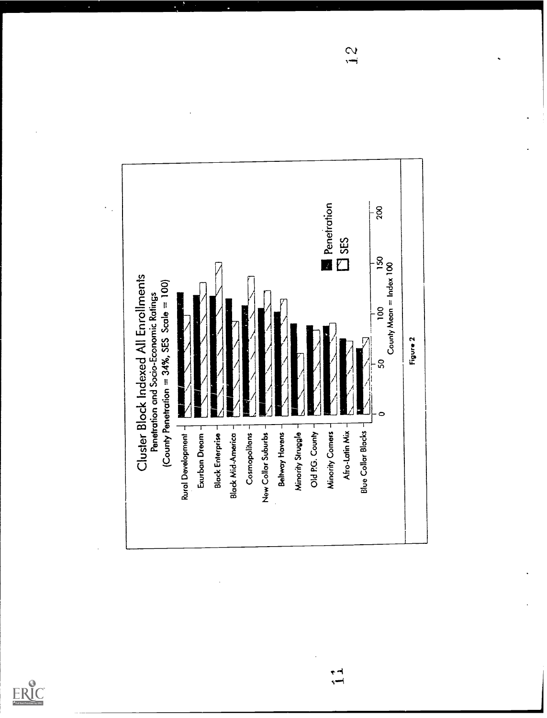



 $\frac{1}{2}$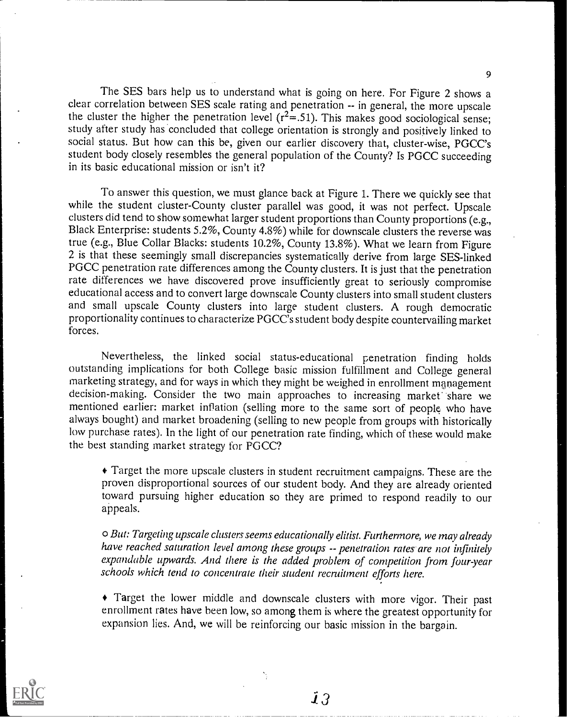The SES bars help us to understand what is going on here. For Figure 2 shows a clear correlation between SES scale rating and penetration -- in general, the more upscale the cluster the higher the penetration level  $(r^2=.51)$ . This makes good sociological sense; study after study has concluded that college orientation is strongly and positively linked to social status. But how can this be, given our earlier discovery that, cluster-wise, PGCC's student body closely resembles the general population of the County? Is PGCC succeeding in its basic educational mission or isn't it?

To answer this question, we must glance back at Figure 1. There we quickly see that while the student cluster-County cluster parallel was good, it was not perfect. Upscale clusters did tend to show somewhat larger student proportions than County proportions (e.g., Black Enterprise: students 5.2%, County 4.8%) while for downscale clusters the reverse was true (e.g., Blue Collar Blacks: students 10.2%, County 13.8%). What we learn from Figure 2 is that these seemingly small discrepancies systematically derive from large SES-linked PGCC penetration rate differences among the County clusters. It is just that the penetration rate differences we have discovered prove insufficiently great to seriously compromise educational access and to convert large downscale County clusters into small student clusters and small upscale County clusters into large student clusters. A rough democratic proportionality continues to characterize PGCC's student body despite countervailing market forces.

Nevertheless, the linked social status-educational penetration finding holds outstanding implications for both College basic mission fulfillment and College general marketing strategy, and for ways in which they might be weighed in enrollment management decision-making. Consider the two main approaches to increasing market share we mentioned earlier: market inflation (selling more to the same sort of people who have always bought) and market broadening (selling to new people from groups with historically low purchase rates). In the light of our penetration rate finding, which of these would make the best standing market strategy for PGCC?

Target the more upscale clusters in student recruitment campaigns. These are the proven disproportional sources of our student body. And they are already oriented toward pursuing higher education so they are primed to respond readily to our appeals.

o But: Targeting upscale clusters seems educationally elitist. Furthermore, we may already have reached saturation level among these groups -- penetration rates are not infinitely expandable upwards. And there is the added problem of competition from four-year schools which tend to concentrate their student recruitment efforts here.

Target the lower middle and downscale clusters with more vigor. Their past enrollment rates have been low, so among them is where the greatest opportunity for expansion lies. And, we will be reinforcing our basic mission in the bargain.

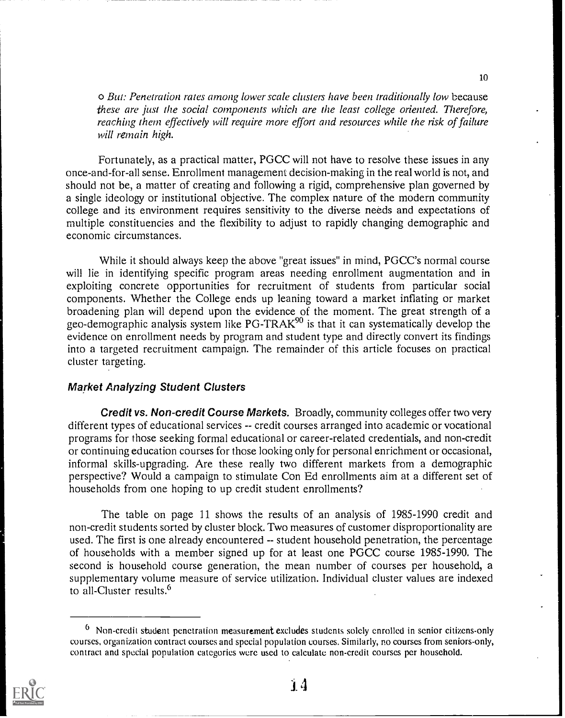o But: Penetration rates among lower scale clusters have been traditionally low because these are just the social components which are the least college oriented. Therefore, reaching them effectively will require more effort and resources while the risk of failure will remain high.

Fortunately, as a practical matter, PGCC will not have to resolve these issues in any once-and-for-all sense. Enrollment management decision-making in the real world is not, and should not be, a matter of creating and following a rigid, comprehensive plan governed by a single ideology or institutional objective. The complex nature of the modern community college and its environment requires sensitivity to the diverse needs and expectations of multiple constituencies and the flexibility to adjust to rapidly changing demographic and economic circumstances.

While it should always keep the above "great issues" in mind, PGCC's normal course will lie in identifying specific program areas needing enrollment augmentation and in exploiting concrete opportunities for recruitment of students from particular social components. Whether the College ends up leaning toward a market inflating or market broadening plan will depend upon the evidence of the moment. The great strength of a geo-demographic analysis system like  $PG-TRAK<sup>90</sup>$  is that it can systematically develop the evidence on enrollment needs by program and student type and directly convert its findings into a targeted recruitment campaign. The remainder of this article focuses on practical cluster targeting.

### Market Analyzing Student Clusters

Credit vs. Non-credit Course Markets. Broadly, community colleges offer two very different types of educational services -- credit courses arranged into academic or vocational programs for those seeking formal educational or career-related credentials, and non-credit or continuing education courses for those looking only for personal enrichment or occasional, informal skills-upgrading. Are these really two different markets from a demographic perspective? Would a campaign to stimulate Con Ed enrollments aim at a different set of households from one hoping to up credit student enrollments?

The table on page 11 shows the results of an analysis of 1985-1990 credit and non-credit students sorted by cluster block. Two measures of customer disproportionality are used. The first is one already encountered -- student household penetration, the percentage of households with a member signed up for at least one PGCC course 1985-1990. The second is household course generation, the mean number of courses per household, a supplementary volume measure of service utilization. Individual cluster values are indexed to all-Cluster results.°

<sup>6</sup> Non-credit student penetration measurement excludes students solely enrolled in senior citizens-only courses, organization contract courses and special population courses. Similarly, no courses from seniors-only, contract and special population categories were used to calculate non-credit courses per household.

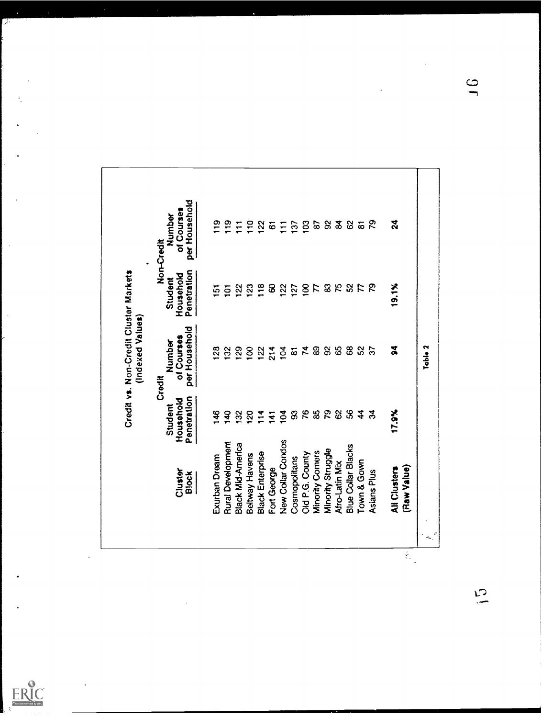|                          | Student                  | Number<br>Credit            | Student                  | Number<br>Non-Credit        |
|--------------------------|--------------------------|-----------------------------|--------------------------|-----------------------------|
| Cluster<br>Block         | Penetration<br>Household | per Household<br>of Courses | Penetration<br>Household | per Household<br>of Courses |
| Exurban Dream            | \$                       | $\mathbf{g}$                | ត                        | $\frac{9}{1}$               |
| <b>Rural Development</b> | $\mathbf{a}$             | 132                         | $\overline{5}$           | $\frac{9}{10}$              |
| Black Mid-America        | $\mathbf{S}$             | $\overline{29}$             | $\frac{8}{2}$            | Ξ                           |
| Beltway Havens           | <u>ន</u>                 | $\overline{8}$              | $\overline{23}$          | $\frac{1}{2}$               |
| <b>Black Enterprise</b>  | $\frac{4}{1}$            | 122                         | 18                       | $\overline{2}$              |
| Fort George              | $\ddot{ }$               | 214                         | 8                        | $\overline{6}$              |
| <b>New Collar Condos</b> | $\overline{S}$           | $\frac{4}{10}$              | $\frac{2}{3}$            | $\overline{E}$              |
| Cosmopolitans            | 3                        | $\overline{\omega}$         | $\overline{27}$          | $\overline{3}$              |
| Old P.G. County          |                          | 78                          | $\overline{8}$           | $\overline{103}$            |
| Minority Comers          | 76y                      |                             | ド                        | $\mathbf{g}$                |
| Minority Struggle        | 78                       | $\mathbf{S}$                |                          |                             |
| Afro-Latin Mix           |                          | $\mathcal{S}$               | <b>3 kg</b>              | ೫ ೩                         |
| Blue Collar Blacks       | $\mathcal{S}$            | $\mathbf{g}$                | ន                        | 62                          |
| Town & Gown              | $\boldsymbol{4}$         | S2                          | $\mathcal{L}$            | $\overline{a}$              |
| Asians Plus              | $\mathfrak{F}$           | $\overline{\mathcal{E}}$    | 29                       | 52                          |
| All Clusters             | 17.9%                    | 3                           | 19.1%                    | $\mathbf{a}$                |
| (Flaw Value)             |                          |                             |                          |                             |

ERIC

 $\sum_{i=1}^{n}$ 

 $\frac{1}{2}$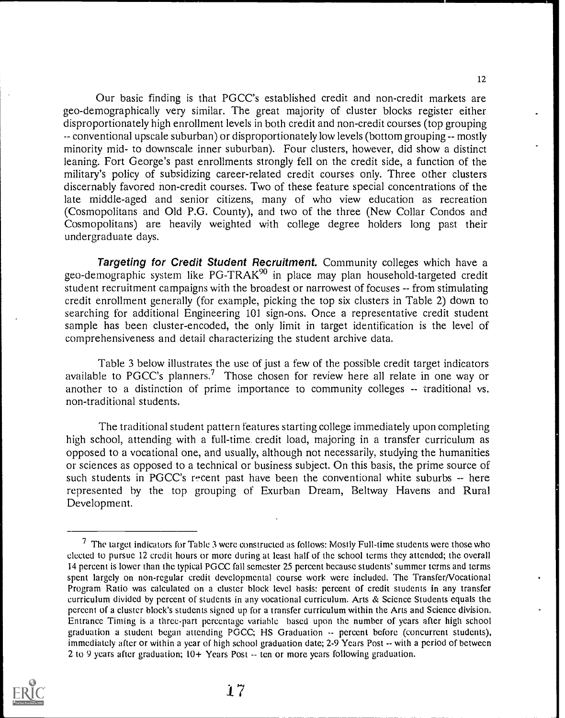Our basic finding is that PGCC's established credit and non-credit markets are geo-demographically very similar. The great majority of cluster blocks register either disproportionately high enrollment levels in both credit and non-credit courses (top grouping -- conventional upscale suburban) or disproportionately low levels (bottom grouping -- mostly minority mid- to downscale inner suburban). Four clusters, however, did show a distinct leaning. Fort George's past enrollments strongly fell on the credit side, a function of the military's policy of subsidizing career-related credit courses only. Three other clusters discernably favored non-credit courses. Two of these feature special concentrations of the late middle-aged and senior citizens, many of who view education as recreation (Cosmopolitans and Old P.G. County), and two of the three (New Collar Condos and Cosmopolitans) are heavily weighted with college degree holders long past their undergraduate days.

Targeting for Credit Student Recruitment. Community colleges which have a geo-demographic system like PG-TRAK<sup>90</sup> in place may plan household-targeted credit student recruitment campaigns with the broadest or narrowest of focuses -- from stimulating credit enrollment generally (for example, picking the top six clusters in Table 2) down to searching for additional Engineering 101 sign-ons. Once a representative credit student sample has been cluster-encoded, the only limit in target identification is the level of comprehensiveness and detail characterizing the student archive data.

Table 3 below illustrates the use of just a few of the possible credit target indicators available to PGCC's planners.? Those chosen for review here all relate in one way or another to a distinction of prime importance to community colleges -- traditional vs. non-traditional students.

The traditional student pattern features starting college immediately upon completing high school, attending with a full-time credit load, majoring in a transfer curriculum as opposed to a vocational one, and usually, although not necessarily, studying the humanities or sciences as opposed to a technical or business subject. On this basis, the prime source of such students in PGCC's recent past have been the conventional white suburbs -- here represented by the top grouping of Exurban Dream, Beltway Havens and Rural Development.

 $7$  The target indicators for Table 3 were constructed as follows: Mostly Full-time students were those who elected to pursue 12 credit hours or more during at least half of the school terms they attended; the overall 14 percent is lower than the typical PGCC fall semester 25 percent because students' summer terms and terms spent largely on non-regular credit developmental course work were included. The Transfer/Vocational Program Ratio was calculated on a cluster block level basis: percent of credit students in any transfer curriculum divided by percent of students in any vocational curriculum. Arts & Science Students equals the percent of a cluster block's students signed up for a transfer curriculum within the Arts and Science division. Entrance Timing is a three-part percentage variable based upon the number of years after high school graduation a student began attending PGCC; HS Graduation -- percent before (concurrent students), immediately after or within a year of high school graduation date; 2-9 Years Post -- with a period of between 2 to 9 years after graduation; 10+ Years Post -- ten or more years following graduation.

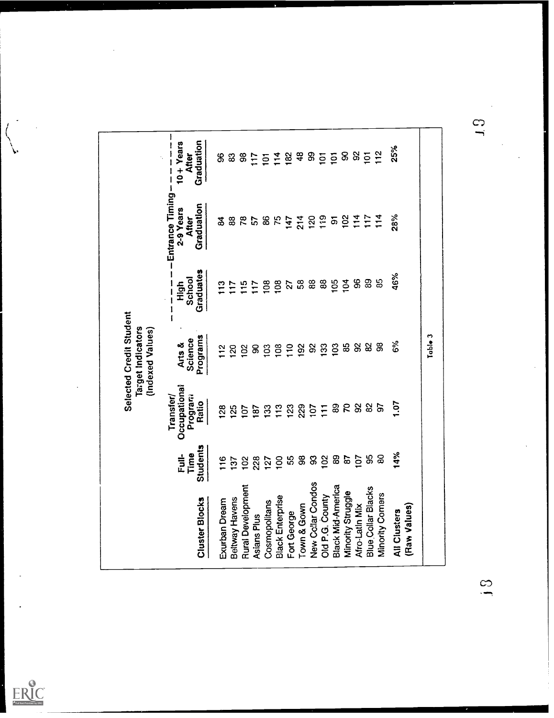|                          |                                  | Transfer/                        | (Indexed Values)              | $\mathbf{l}$<br>$\mathbf{l}$<br>$\mathbf i$ | -Entrance Timing-                | Ŷ,<br>ı                                     |
|--------------------------|----------------------------------|----------------------------------|-------------------------------|---------------------------------------------|----------------------------------|---------------------------------------------|
| <b>Cluster Blocks</b>    | <b>Students</b><br>Time<br>Full- | Occupational<br>Program<br>Ratio | Programs<br>Science<br>Arts & | Graduates<br>School<br>High                 | Graduation<br>2-9 Years<br>After | Graduation<br>$10 + Y$ ears<br><b>After</b> |
| Exurban Dream            | $\frac{6}{1}$                    | <b>28</b>                        | $\frac{2}{1}$                 | $\mathbf{r}$                                | వే                               | 8                                           |
| Beltway Havens           | $\tilde{c}$                      | 125                              | $\overline{20}$               | $\overline{17}$                             | 88                               | ශී                                          |
| <b>Rural Development</b> | $\frac{8}{2}$                    | 107                              | $\frac{2}{2}$                 | $\frac{5}{15}$                              | 78                               | 38                                          |
| Asians Plus              | 228                              | 187                              | 8                             | $\overline{17}$                             | 57                               | $\frac{17}{11}$                             |
| Cosmopolitans            | 127                              | 133                              | $\tilde{e}$                   | 108                                         | 86                               |                                             |
| <b>Black Enterprise</b>  | $\overline{100}$                 | 113                              | 08                            | 108                                         | 75                               | 518                                         |
| Fort George              |                                  | 123                              | 10                            | 27                                          | 147                              |                                             |
| Town & Gown              | 55<br>38                         | 229                              | 92                            | 58                                          | 214                              | 48                                          |
| New Collar Condos        | 3                                | 107                              | $\delta$                      |                                             | 120                              | 3                                           |
| Old P.G. County          | $\approx$                        | $\overline{1}$                   | <b>33</b>                     | 88                                          | 119                              | $\overline{5}$                              |
| <b>Black Mid-America</b> | 89                               |                                  | 103                           | <u>105</u>                                  | $\overline{5}$                   | $\overline{5}$                              |
| Minority Struggle        | 87                               | <b>88</b>                        | 85                            | $\overline{5}$                              | 102                              | 885                                         |
| Afro-Latin Mix           | 107                              | $\Omega$                         | 8                             | 8                                           | $\frac{4}{11}$                   |                                             |
| Blue Collar Blacks       | 95                               | 82                               | 82                            | 89                                          | 117                              |                                             |
| <b>Vinority Comers</b>   | $\mathbf{g}$                     | 5                                | 8                             | 85                                          | 114                              | $\frac{2}{12}$                              |
| <b>All Clusters</b>      | 14%                              | 1.07                             | 6%                            | 46%                                         | 28%                              | 25%                                         |
| (Raw Values)             |                                  |                                  |                               |                                             |                                  |                                             |
|                          |                                  |                                  | Table 3                       |                                             |                                  |                                             |

 $\begin{pmatrix} 1 \\ 1 \\ 1 \\ 1 \end{pmatrix}$ 

 $ERIC$ 

 $\mathbf{c}$ 

 $\frac{5}{5}$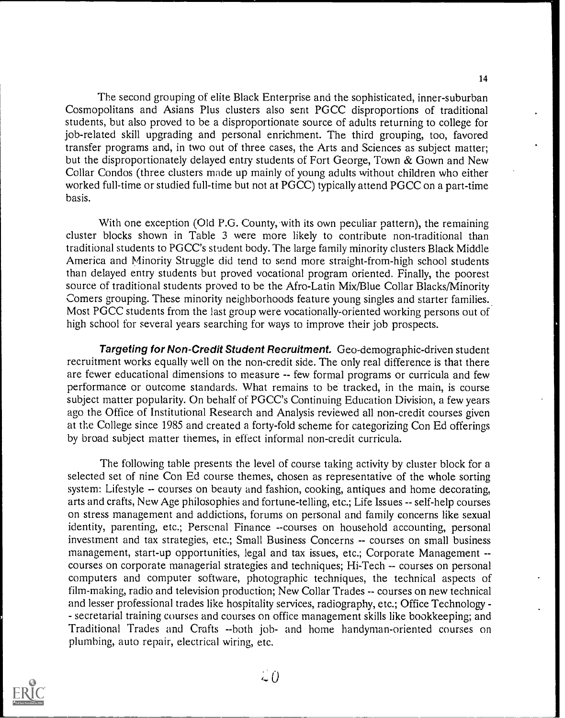14

The second grouping of elite Black Enterprise and the sophisticated, inner-suburban Cosmopolitans and Asians Plus clusters also sent PGCC disproportions of traditional students, but also proved to be a disproportionate source of adults returning to college for job-related skill upgrading and personal enrichment. The third grouping, too, favored transfer programs and, in two out of three cases, the Arts and Sciences as subject matter; but the disproportionately delayed entry students of Fort George, Town & Gown and New Collar Condos (three clusters made up mainly of young adults without children who either worked full-time or studied full-time but not at PGCC) typically attend PGCC on a part-time basis.

With one exception (Old P.G. County, with its own peculiar pattern), the remaining cluster blocks shown in Table 3 were more likely to contribute non-traditional than traditional students to PGCC's student body. The large family minority clusters Black Middle America and Minority Struggle did tend to send more straight-from-high school students than delayed entry students but proved vocational program oriented. Finally, the poorest source of traditional students proved to be the Afro-Latin Mix/Blue Collar Blacks/Minority Comers grouping. These minority neighborhoods feature young singles and starter families. Most PGCC students from the last group were vocationally-oriented working persons out of high school for several years searching for ways to improve their job prospects.

Targeting for Non-Credit Student Recruitment. Geo-demographic-driven student recruitment works equally well on the non-credit side. The only real difference is that there are fewer educational dimensions to measure -- few formal programs or curricula and few performance or outcome standards. What remains to be tracked, in the main, is course subject matter popularity. On behalf of PGCC's Continuing Education Division, a few years ago the Office of Institutional Research and Analysis reviewed all non-credit courses given at the College since 1985 and created a forty-fold scheme for categorizing Con Ed offerings by broad subject matter themes, in effect informal non-credit curricula.

The following table presents the level of course taking activity by cluster block for a selected set of nine Con Ed course themes, chosen as representative of the whole sorting system: Lifestyle -- courses on beauty and fashion, cooking, antiques and home decorating, arts and crafts, New Age philosophies and fortune-telling, etc.; Life Issues -- self-help courses on stress management and addictions, forums on personal and family concerns like sexual identity, parenting, etc.; Personal Finance --courses on household accounting, personal investment and tax strategies, etc.; Small Business Concerns -- courses on small business management, start-up opportunities, legal and tax issues, etc.; Corporate Management - courses on corporate managerial strategies and techniques; Hi-Tech -- courses on personal computers and computer software, photographic techniques, the technical aspects of film-making, radio and television production; New Collar Trades -- courses on new technical and lesser professional trades like hospitality services, radiography, etc.; Office Technology- - secretarial training courses and courses on office management skills like bookkeeping; and Traditional Trades and Crafts --both job- and home handyman-oriented courses on plumbing, auto repair, electrical wiring, etc.

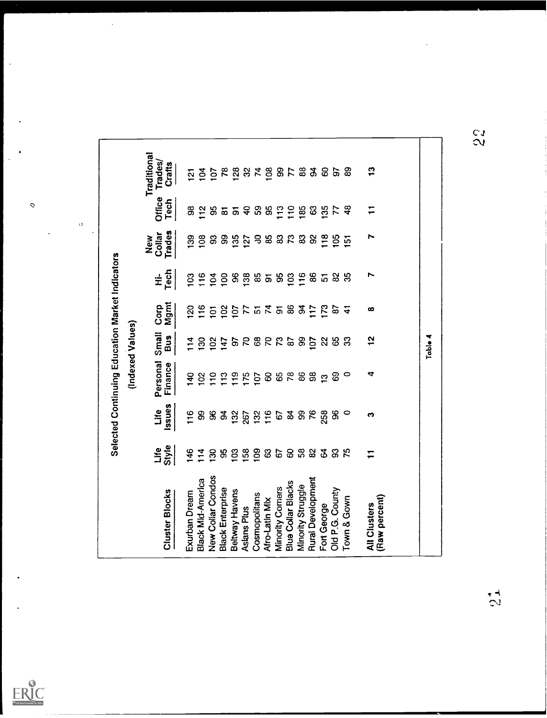|                                  |                                  |                                |                      |                              | Table 4                     |                                                 |                |                      |                                         |
|----------------------------------|----------------------------------|--------------------------------|----------------------|------------------------------|-----------------------------|-------------------------------------------------|----------------|----------------------|-----------------------------------------|
|                                  |                                  |                                |                      |                              |                             |                                                 |                |                      |                                         |
| $\frac{3}{1}$                    | $\overline{1}$                   | r                              | Ņ                    | ထ                            | $\frac{1}{2}$               | ₹                                               | ∾              | $\overline{1}$       | (Raw percent)<br><b>All Clusters</b>    |
| 89                               | $\frac{8}{4}$                    | $\overline{5}$                 | 35                   | $\frac{1}{4}$                | ္က                          | $\circ$                                         | $\circ$        | 75                   | Town & Gown                             |
| 67                               | 77                               | $\frac{5}{2}$                  | ಜ                    | P.                           | යි                          | ගි                                              | 8              | င္တ                  | Old P.G. County                         |
| 82828                            | $\boldsymbol{\mathcal{S}}$<br>35 | 8<br>$\frac{8}{10}$            | 86<br>$\overline{5}$ | 117<br>$\tilde{\mathcal{E}}$ | $\overline{5}$<br>$\approx$ | $98$<br>$\mathbf{r}$                            | 76<br>258      | 82<br>$\mathfrak{F}$ | <b>Rural Development</b><br>Fort George |
|                                  | 185                              | 3                              | 116                  | र्ड                          | 8                           | 86                                              | 8              | 58                   | Minority Struggle                       |
|                                  |                                  | $\mathfrak{c}$                 | $\mathbf{S}$         |                              |                             |                                                 | $\mathfrak{B}$ | 8                    | <b>Blue Collar Blacks</b>               |
|                                  | 5 \$ \$ \$ 5 5 5                 | $\boldsymbol{\mathsf{B}}$      | 19588858             | <b>85257575</b>              | 28822                       | 882                                             | 67             | $\mathbbm{S}$<br>57  | Minority Comers<br>Afro-Latin Mix       |
| 588878                           |                                  | ತೆ ಜಿ                          |                      |                              |                             | $\overline{10}$                                 | $132$<br>$116$ | $\overline{50}$      | Cosmopolitans                           |
|                                  |                                  | $\overline{127}$               |                      |                              |                             | 175                                             | 267            | 58                   | Aslans Plus                             |
|                                  |                                  | $\frac{5}{6}$                  |                      |                              | 6                           | $\frac{9}{1}$                                   | 132            | $\mathbf{S}$         | Beltway Havens                          |
|                                  | 95                               | 8                              |                      | $\frac{2}{2}$                | <b>47</b>                   | 13                                              | $\mathfrak{g}$ | 99                   | <b>Black Enterprise</b>                 |
|                                  |                                  | 8                              |                      | $\overline{5}$               | $\frac{2}{2}$               | $\frac{1}{2}$                                   | $\frac{8}{3}$  | $\overline{5}$       | New Collar Condos                       |
| $\overline{5}$                   | $\frac{2}{12}$                   | 108                            |                      | 116                          | $\frac{8}{2}$               | $\approx$                                       | 8              | $\frac{4}{11}$       | Black Mid-America                       |
| $\overline{2}$                   | $\mathbf{g}$                     | $\frac{9}{2}$                  | 103                  | 120                          | 114                         | 140                                             | 116            | 146                  | Exurban Dream                           |
| Traditional<br>Trades)<br>Crafts | Office<br>Tech                   | <b>Trades</b><br>Collar<br>New | Tech<br>±            | Mgmt<br>Corp                 | Small<br>Bus                | Personal<br>Finance                             | Issues<br>Life | Style<br>Life        | <b>Cluster Blocks</b>                   |
|                                  |                                  |                                |                      |                              |                             | (Indexed Values)                                |                |                      |                                         |
|                                  |                                  |                                |                      |                              |                             | Selected Continuing Education Market Indicators |                |                      |                                         |
|                                  |                                  |                                |                      |                              |                             |                                                 |                |                      |                                         |



'21

 $\sum_{\mathsf{A}\text{full test } \text{Frocified Ly EHC}}} \begin{array}{c} \textbf{0} \\ \textbf{0} \end{array}$ 

 $\ddot{\circ}$ 

 $\frac{\partial}{\partial x} = \frac{\partial}{\partial y}$ 

 $\ddot{\phantom{a}}$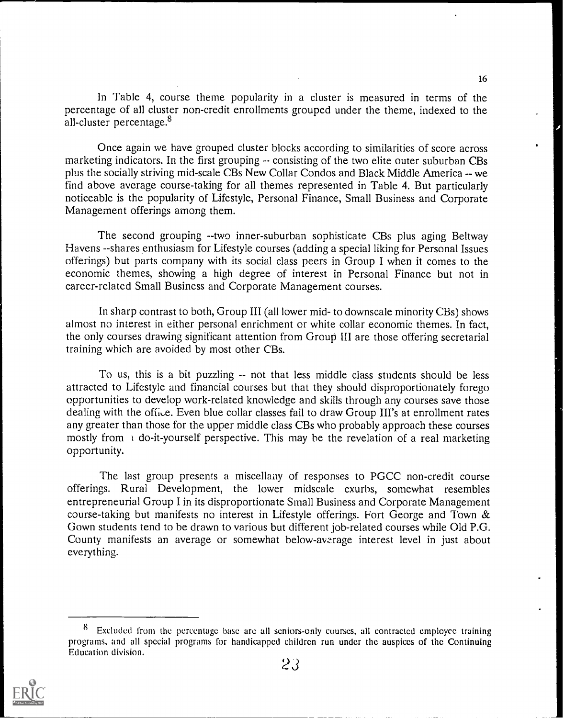In Table 4, course theme popularity in a cluster is measured in terms of the percentage of all cluster non-credit enrollments grouped under the theme, indexed to the all-cluster percentage. $8$ 

Once again we have grouped cluster blocks according to similarities of score across marketing indicators. In the first grouping -- consisting of the two elite outer suburban CBs plus the socially striving mid-scale CBs New Collar Condos and Black Middle America -- we find above average course-taking for all themes represented in Table 4. But particularly noticeable is the popularity of Lifestyle, Personal Finance, Small Business and Corporate Management offerings among them.

The second grouping --two inner-suburban sophisticate CBs plus aging Beltway Havens --shares enthusiasm for Lifestyle courses (adding a special liking for Personal Issues offerings) but parts company with its social class peers in Group I when it comes to the economic themes, showing a high degree of interest in Personal Finance but not in career-related Small Business and Corporate Management courses.

In sharp contrast to both, Group III (all lower mid- to downscale minority CBs) shows almost no interest in either personal enrichment or white collar economic themes. In fact, the only courses drawing significant attention from Group III are those offering secretarial training which are avoided by most other CBs.

To us, this is a bit puzzling -- not that less middle class students should be less attracted to Lifestyle and financial courses but that they should disproportionately forego opportunities to develop work-related knowledge and skills through any courses save those dealing with the office. Even blue collar classes fail to draw Group III's at enrollment rates any greater than those for the upper middle class CBs who probably approach these courses mostly from  $\alpha$  do-it-yourself perspective. This may be the revelation of a real marketing opportunity.

The last group presents a miscellany of responses to PGCC non-credit course offerings. Rural Development, the lower midscale exurbs, somewhat resembles entrepreneurial Group I in its disproportionate Small Business and Corporate Management course-taking but manifests no interest in Lifestyle offerings. Fort George and Town & Gown students tend to be drawn to various but different job-related courses while Old P.G. County manifests an average or somewhat below-average interest level in just about everything.

Excluded from the percentage base are all seniors-only courses, all contracted employee training programs, and all special programs for handicapped children run under the auspices of the Continuing Education division.